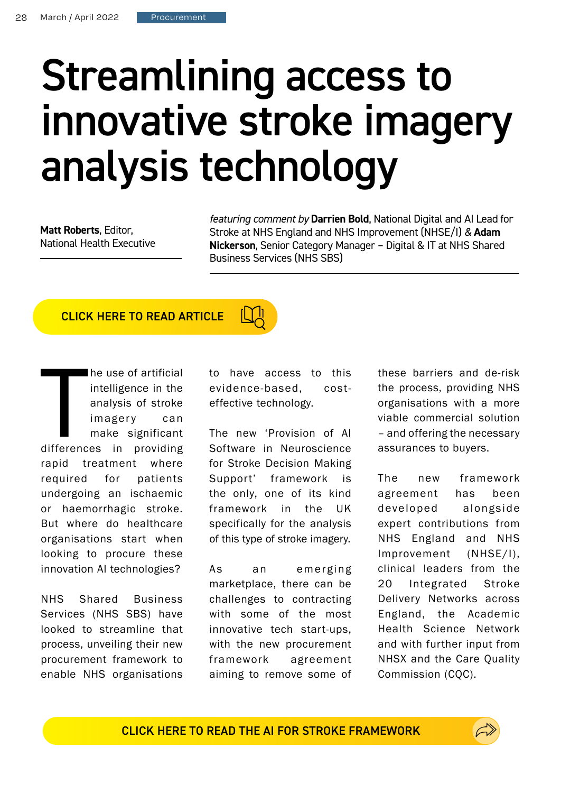## Streamlining access to innovative stroke imagery analysis technology

**Matt Roberts**, Editor, National Health Executive *featuring comment by* **Darrien Bold**, National Digital and AI Lead for Stroke at NHS England and NHS Improvement (NHSE/I) *&* **Adam Nickerson**, Senior Category Manager – Digital & IT at NHS Shared Business Services (NHS SBS)

## CLICK HERE TO READ ARTICLE

difference he use of artificial intelligence in the analysis of stroke imagery can make significant differences in providing rapid treatment where required for patients undergoing an ischaemic or haemorrhagic stroke. But where do healthcare organisations start when looking to procure these innovation AI technologies?

NHS Shared Business Services (NHS SBS) have looked to streamline that process, unveiling their new procurement framework to enable NHS organisations

to have access to this evidence-based, costeffective technology.

The new 'Provision of AI Software in Neuroscience for Stroke Decision Making Support' framework is the only, one of its kind framework in the UK specifically for the analysis of this type of stroke imagery.

As an emerging marketplace, there can be challenges to contracting with some of the most innovative tech start-ups, with the new procurement framework agreement aiming to remove some of these barriers and de-risk the process, providing NHS organisations with a more viable commercial solution – and offering the necessary assurances to buyers.

The new framework agreement has been developed alongside expert contributions from NHS England and NHS Improvement (NHSE/I), clinical leaders from the 20 Integrated Stroke Delivery Networks across England, the Academic Health Science Network and with further input from NHSX and the Care Quality Commission (CQC).

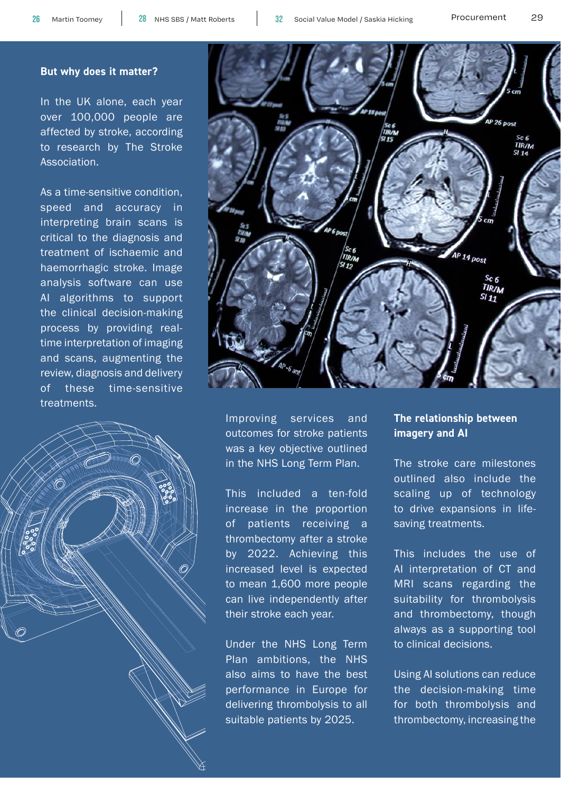## **But why does it matter?**

In the UK alone, each year over 100,000 people are affected by stroke, according to research by The Stroke Association.





outcomes for stroke patients was a key objective outlined in the NHS Long Term Plan.

This included a ten-fold increase in the proportion of patients receiving a thrombectomy after a stroke by 2022. Achieving this increased level is expected to mean 1,600 more people can live independently after their stroke each year.

Under the NHS Long Term Plan ambitions, the NHS also aims to have the best performance in Europe for delivering thrombolysis to all suitable patients by 2025.

## **The relationship between imagery and AI**

The stroke care milestones outlined also include the scaling up of technology to drive expansions in lifesaving treatments.

This includes the use of AI interpretation of CT and MRI scans regarding the suitability for thrombolysis and thrombectomy, though always as a supporting tool to clinical decisions.

Using AI solutions can reduce the decision-making time for both thrombolysis and thrombectomy, increasing the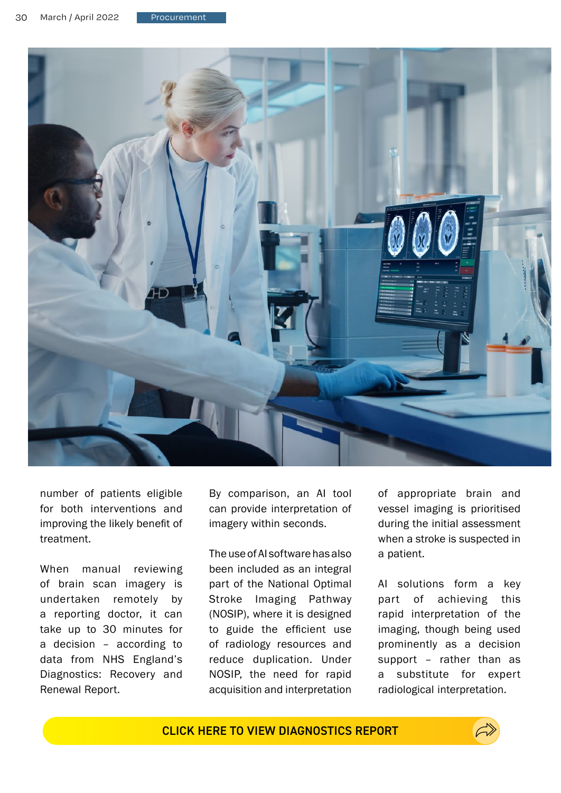

number of patients eligible for both interventions and improving the likely benefit of treatment.

When manual reviewing of brain scan imagery is undertaken remotely by a reporting doctor, it can take up to 30 minutes for a decision – according to data from NHS England's Diagnostics: Recovery and Renewal Report.

By comparison, an AI tool can provide interpretation of imagery within seconds.

The use of AI software has also been included as an integral part of the National Optimal Stroke Imaging Pathway (NOSIP), where it is designed to guide the efficient use of radiology resources and reduce duplication. Under NOSIP, the need for rapid acquisition and interpretation of appropriate brain and vessel imaging is prioritised during the initial assessment when a stroke is suspected in a patient.

AI solutions form a key part of achieving this rapid interpretation of the imaging, though being used prominently as a decision support – rather than as a substitute for expert radiological interpretation.

CLICK HERE TO VIEW DIAGNOSTICS REPORT